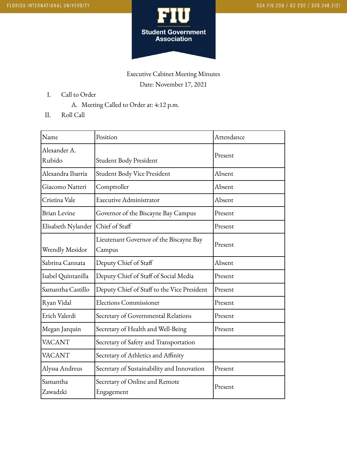

## Executive Cabinet Meeting Minutes Date: November 17, 2021

- I. Call to Order
	- A. Meeting Called to Order at: 4:12 p.m.
- II. Roll Call

| Name                 | Position                                     | Attendance |
|----------------------|----------------------------------------------|------------|
| Alexander A.         |                                              | Present    |
| Rubido               | Student Body President                       |            |
| Alexandra Ibarria    | Student Body Vice President                  | Absent     |
| Giacomo Natteri      | Comptroller                                  | Absent     |
| Cristina Vale        | Executive Administrator                      | Absent     |
| <b>Brian Levine</b>  | Governor of the Biscayne Bay Campus          | Present    |
| Elisabeth Nylander   | Chief of Staff                               | Present    |
|                      | Lieutenant Governor of the Biscayne Bay      | Present    |
| Wrendly Mesidor      | Campus                                       |            |
| Sabrina Cannata      | Deputy Chief of Staff                        | Absent     |
| Isabel Quintanilla   | Deputy Chief of Staff of Social Media        | Present    |
| Samantha Castillo    | Deputy Chief of Staff to the Vice President  | Present    |
| Ryan Vidal           | <b>Elections Commissioner</b>                | Present    |
| Erich Valerdi        | Secretary of Governmental Relations          | Present    |
| Megan Jarquin        | Secretary of Health and Well-Being           | Present    |
| <b>VACANT</b>        | Secretary of Safety and Transportation       |            |
| <b>VACANT</b>        | Secretary of Athletics and Affinity          |            |
| Alyssa Andreus       | Secretary of Sustainability and Innovation   | Present    |
| Samantha<br>Zawadzki | Secretary of Online and Remote<br>Engagement | Present    |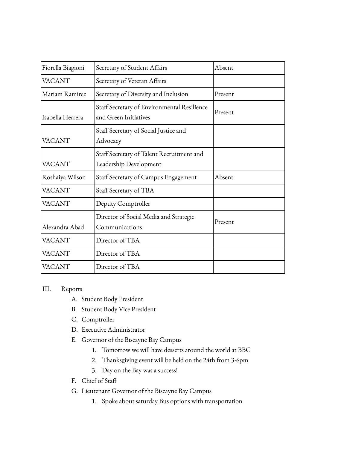| Fiorella Biagioni | Secretary of Student Affairs                                         | Absent  |
|-------------------|----------------------------------------------------------------------|---------|
| <b>VACANT</b>     | Secretary of Veteran Affairs                                         |         |
| Mariam Ramirez    | Secretary of Diversity and Inclusion                                 | Present |
| Isabella Herrera  | Staff Secretary of Environmental Resilience<br>and Green Initiatives | Present |
| <b>VACANT</b>     | Staff Secretary of Social Justice and<br>Advocacy                    |         |
| <b>VACANT</b>     | Staff Secretary of Talent Recruitment and<br>Leadership Development  |         |
| Roshaiya Wilson   | Staff Secretary of Campus Engagement                                 | Absent  |
| <b>VACANT</b>     | Staff Secretary of TBA                                               |         |
| <b>VACANT</b>     | Deputy Comptroller                                                   |         |
| Alexandra Abad    | Director of Social Media and Strategic<br>Communications             | Present |
| <b>VACANT</b>     | Director of TBA                                                      |         |
| <b>VACANT</b>     | Director of TBA                                                      |         |
| <b>VACANT</b>     | Director of TBA                                                      |         |

## III. Reports

- A. Student Body President
- B. Student Body Vice President
- C. Comptroller
- D. Executive Administrator
- E. Governor of the Biscayne Bay Campus
	- 1. Tomorrow we will have desserts around the world at BBC
	- 2. Thanksgiving event will be held on the 24th from 3-6pm
	- 3. Day on the Bay was a success!
- F. Chief of Staff
- G. Lieutenant Governor of the Biscayne Bay Campus
	- 1. Spoke about saturday Bus options with transportation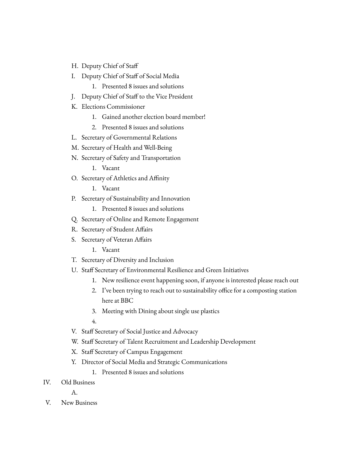- H. Deputy Chief of Staff
- I. Deputy Chief of Staff of Social Media
	- 1. Presented 8 issues and solutions
- J. Deputy Chief of Staff to the Vice President
- K. Elections Commissioner
	- 1. Gained another election board member!
	- 2. Presented 8 issues and solutions
- L. Secretary of Governmental Relations
- M. Secretary of Health and Well-Being
- N. Secretary of Safety and Transportation
	- 1. Vacant
- O. Secretary of Athletics and Affinity
	- 1. Vacant
- P. Secretary of Sustainability and Innovation
	- 1. Presented 8 issues and solutions
- Q. Secretary of Online and Remote Engagement
- R. Secretary of Student Affairs
- S. Secretary of Veteran Affairs
	- 1. Vacant
- T. Secretary of Diversity and Inclusion
- U. Staff Secretary of Environmental Resilience and Green Initiatives
	- 1. New resilience event happening soon, if anyone is interested please reach out
	- 2. I've been trying to reach out to sustainability office for a composting station here at BBC
	- 3. Meeting with Dining about single use plastics

4.

- V. Staff Secretary of Social Justice and Advocacy
- W. Staff Secretary of Talent Recruitment and Leadership Development
- X. Staff Secretary of Campus Engagement
- Y. Director of Social Media and Strategic Communications
	- 1. Presented 8 issues and solutions

IV. Old Business

A.

V. New Business